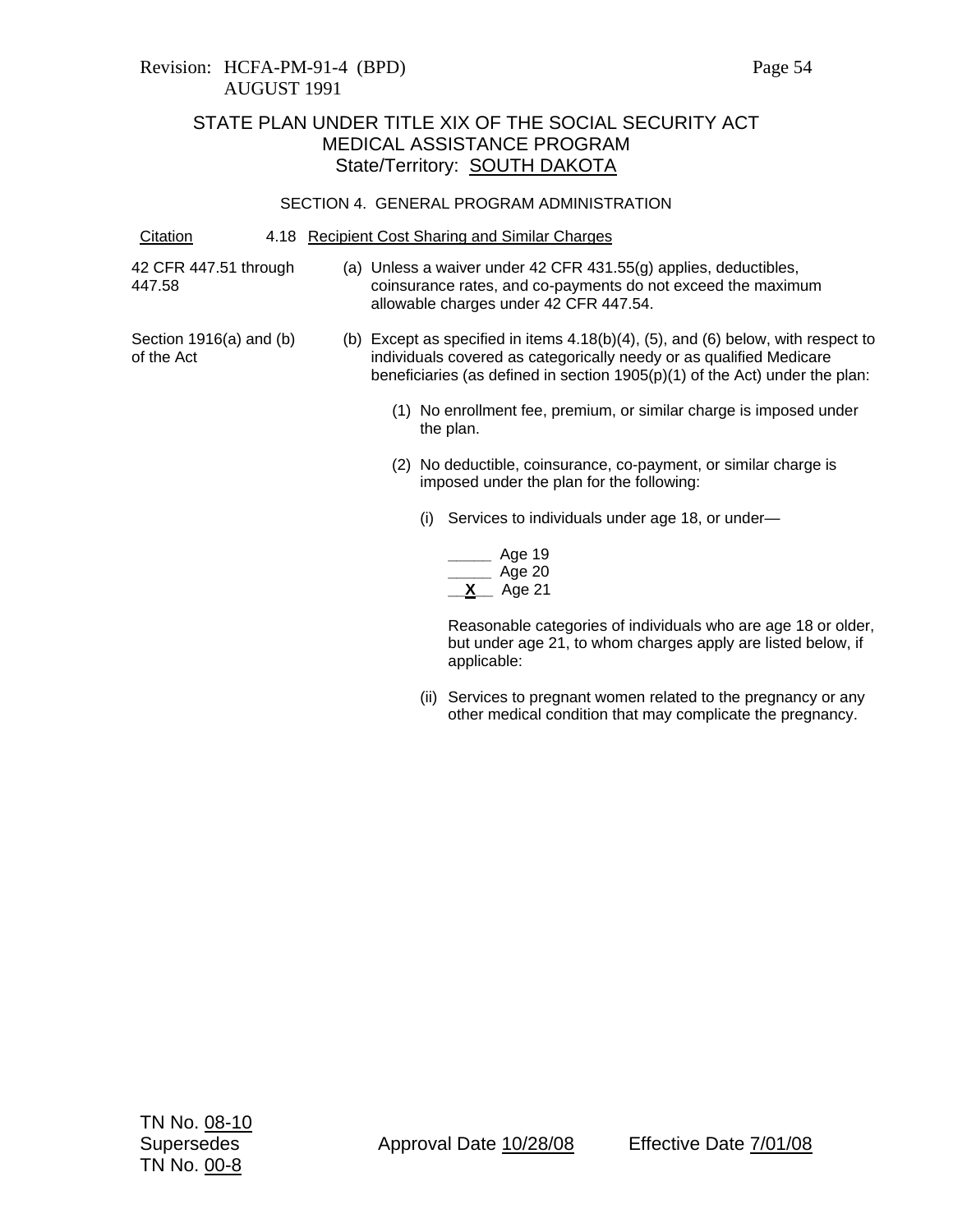### SECTION 4. GENERAL PROGRAM ADMINISTRATION

Citation 4.18 Recipient Cost Sharing and Similar Charges

42 CFR 447.51 through 447.58

(a) Unless a waiver under 42 CFR 431.55(g) applies, deductibles, coinsurance rates, and co-payments do not exceed the maximum allowable charges under 42 CFR 447.54.

- Section 1916(a) and (b) of the Act
- (b) Except as specified in items 4.18(b)(4), (5), and (6) below, with respect to individuals covered as categorically needy or as qualified Medicare beneficiaries (as defined in section 1905(p)(1) of the Act) under the plan:
	- (1) No enrollment fee, premium, or similar charge is imposed under the plan.
	- (2) No deductible, coinsurance, co-payment, or similar charge is imposed under the plan for the following:
		- (i) Services to individuals under age 18, or under—

|   | Age 19 |
|---|--------|
|   | Age 20 |
| x | Age 21 |

Reasonable categories of individuals who are age 18 or older, but under age 21, to whom charges apply are listed below, if applicable:

(ii) Services to pregnant women related to the pregnancy or any other medical condition that may complicate the pregnancy.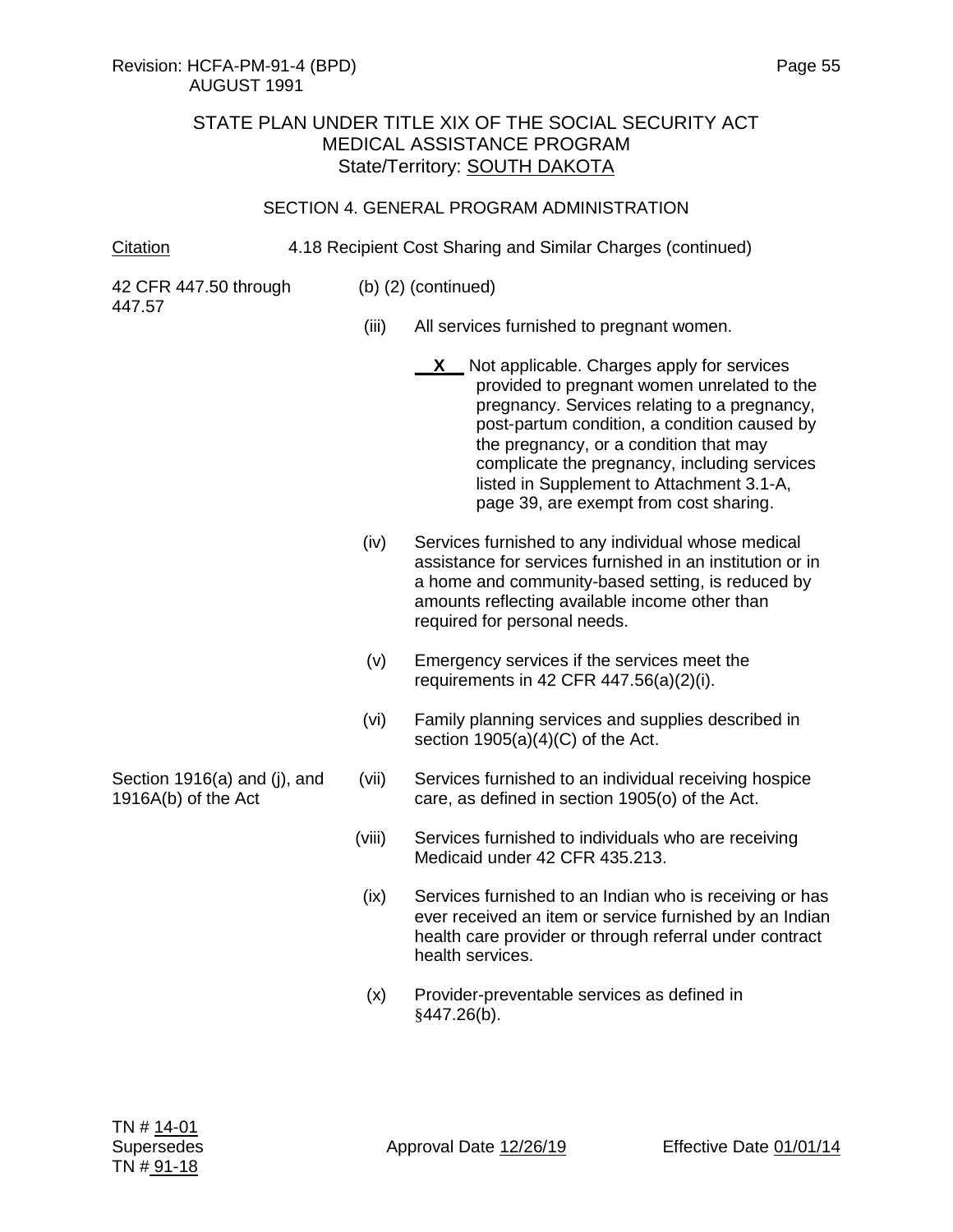## Revision: HCFA-PM-91-4 (BPD) Page 55 AUGUST 1991

## STATE PLAN UNDER TITLE XIX OF THE SOCIAL SECURITY ACT MEDICAL ASSISTANCE PROGRAM State/Territory: SOUTH DAKOTA

### SECTION 4. GENERAL PROGRAM ADMINISTRATION

Citation 4.18 Recipient Cost Sharing and Similar Charges (continued)

42 CFR 447.50 through 447.57

Section 1916(a) and (j), and

1916A(b) of the Act

- (b) (2) (continued)
	- (iii) All services furnished to pregnant women.
		- **X** Not applicable. Charges apply for services provided to pregnant women unrelated to the pregnancy. Services relating to a pregnancy, post-partum condition, a condition caused by the pregnancy, or a condition that may complicate the pregnancy, including services listed in Supplement to Attachment 3.1-A, page 39, are exempt from cost sharing.
	- (iv) Services furnished to any individual whose medical assistance for services furnished in an institution or in a home and community-based setting, is reduced by amounts reflecting available income other than required for personal needs.
	- (v) Emergency services if the services meet the requirements in 42 CFR 447.56(a)(2)(i).
	- (vi) Family planning services and supplies described in section 1905(a)(4)(C) of the Act.
	- (vii) Services furnished to an individual receiving hospice care, as defined in section 1905(o) of the Act.
	- (viii) Services furnished to individuals who are receiving Medicaid under 42 CFR 435.213.
	- (ix) Services furnished to an Indian who is receiving or has ever received an item or service furnished by an Indian health care provider or through referral under contract health services.
	- (x) Provider-preventable services as defined in  $§447.26(b).$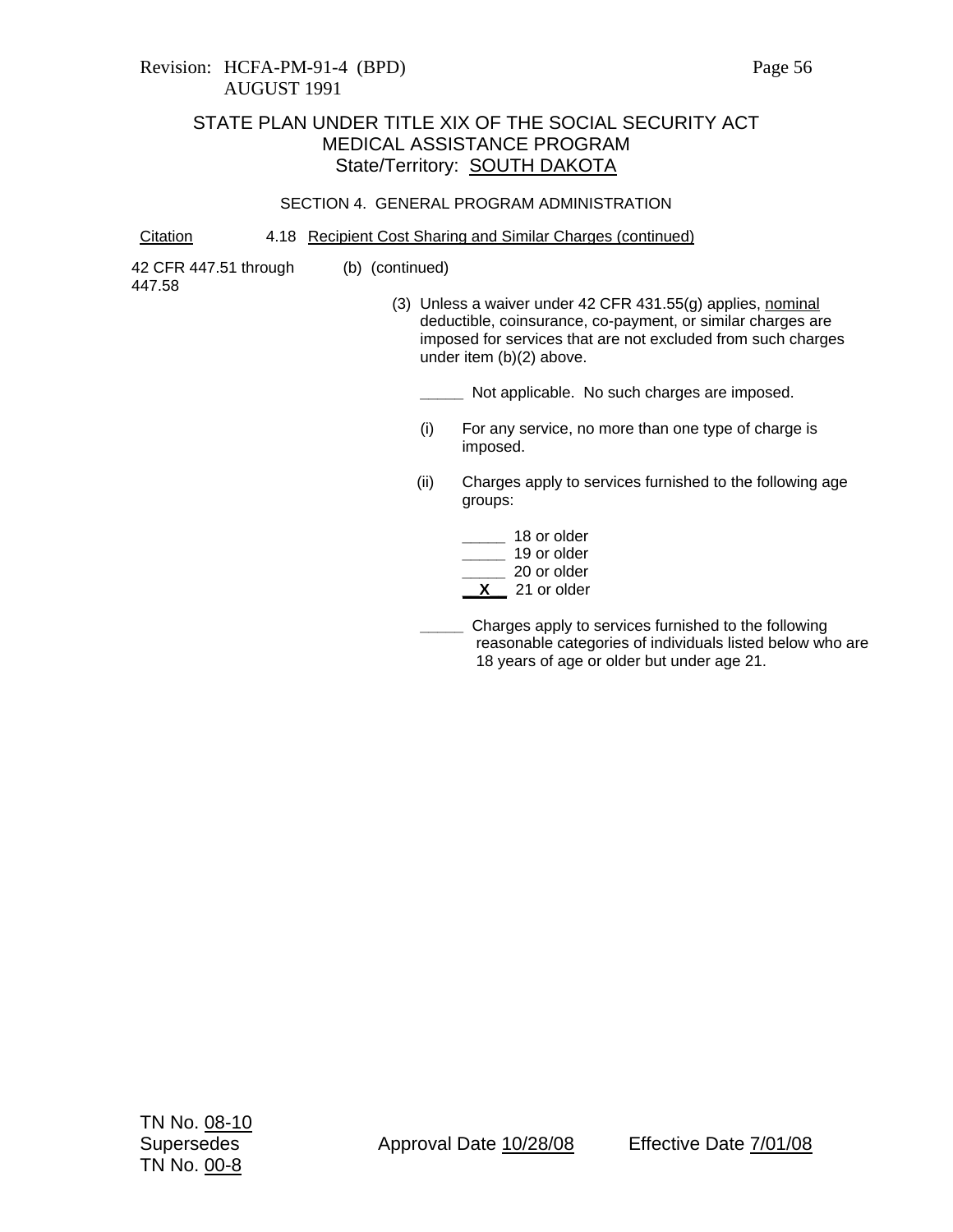### SECTION 4. GENERAL PROGRAM ADMINISTRATION

Citation 4.18 Recipient Cost Sharing and Similar Charges (continued)

(b) (continued)

42 CFR 447.51 through 447.58

(3) Unless a waiver under 42 CFR 431.55(g) applies, nominal deductible, coinsurance, co-payment, or similar charges are imposed for services that are not excluded from such charges under item (b)(2) above.

**\_\_\_\_\_** Not applicable. No such charges are imposed.

- (i) For any service, no more than one type of charge is imposed.
- (ii) Charges apply to services furnished to the following age groups:

| 18 or older |
|-------------|
| 19 or older |
| 20 or older |
| 21 or older |

**\_\_\_\_\_** Charges apply to services furnished to the following reasonable categories of individuals listed below who are 18 years of age or older but under age 21.

Supersedes **Approval Date 10/28/08** Effective Date  $\frac{7}{01/08}$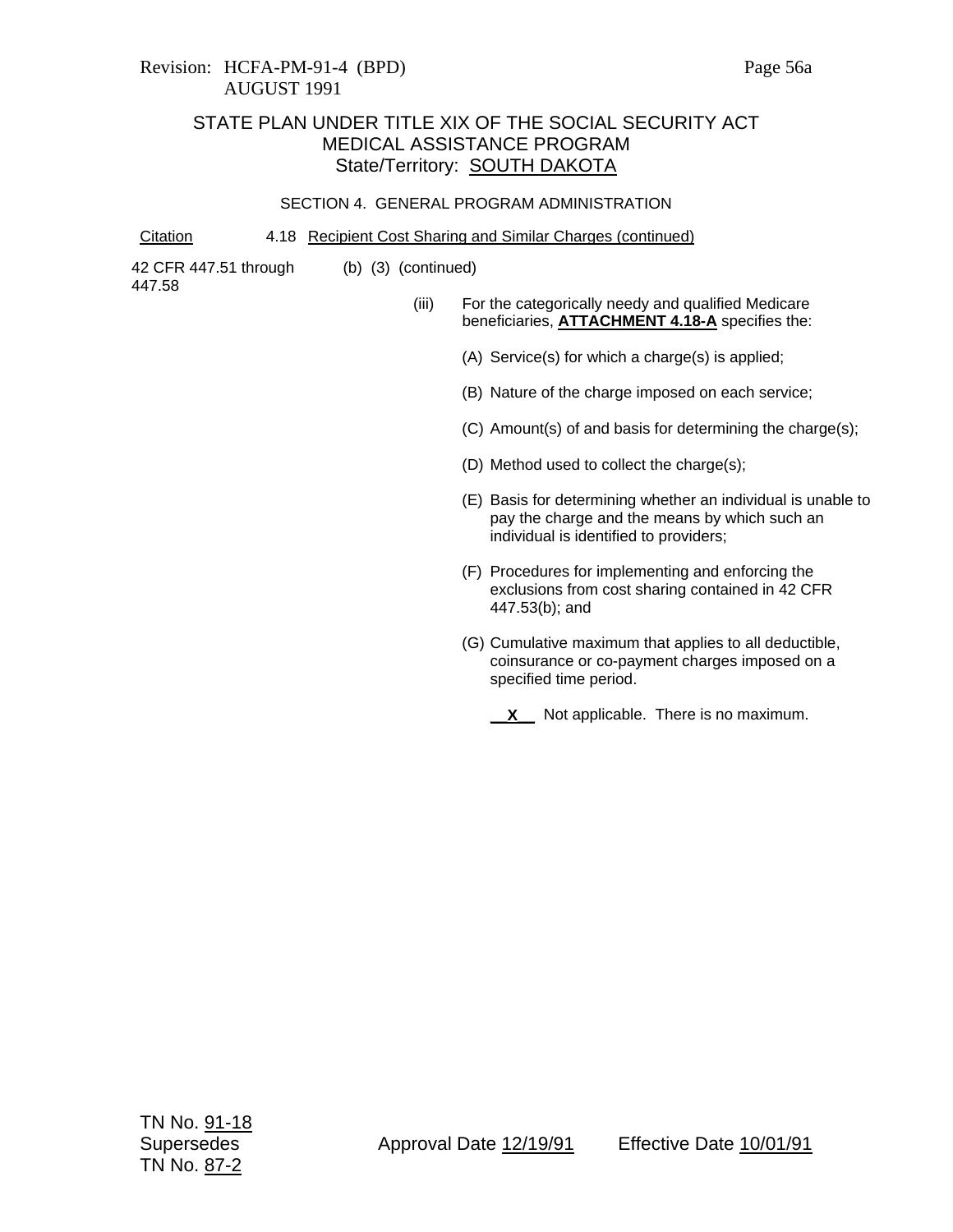## Revision: HCFA-PM-91-4 (BPD) Page 56a AUGUST 1991

### STATE PLAN UNDER TITLE XIX OF THE SOCIAL SECURITY ACT MEDICAL ASSISTANCE PROGRAM State/Territory: **SOUTH DAKOTA**

### SECTION 4. GENERAL PROGRAM ADMINISTRATION

Citation 4.18 Recipient Cost Sharing and Similar Charges (continued)

42 CFR 447.51 through 447.58

- (b) (3) (continued)
	- (iii) For the categorically needy and qualified Medicare beneficiaries, **ATTACHMENT 4.18-A** specifies the:
		- (A) Service(s) for which a charge(s) is applied;
		- (B) Nature of the charge imposed on each service;
		- (C) Amount(s) of and basis for determining the charge(s);
		- (D) Method used to collect the charge(s);
		- (E) Basis for determining whether an individual is unable to pay the charge and the means by which such an individual is identified to providers;
		- (F) Procedures for implementing and enforcing the exclusions from cost sharing contained in 42 CFR 447.53(b); and
		- (G) Cumulative maximum that applies to all deductible, coinsurance or co-payment charges imposed on a specified time period.
			- **\_\_X\_\_** Not applicable. There is no maximum.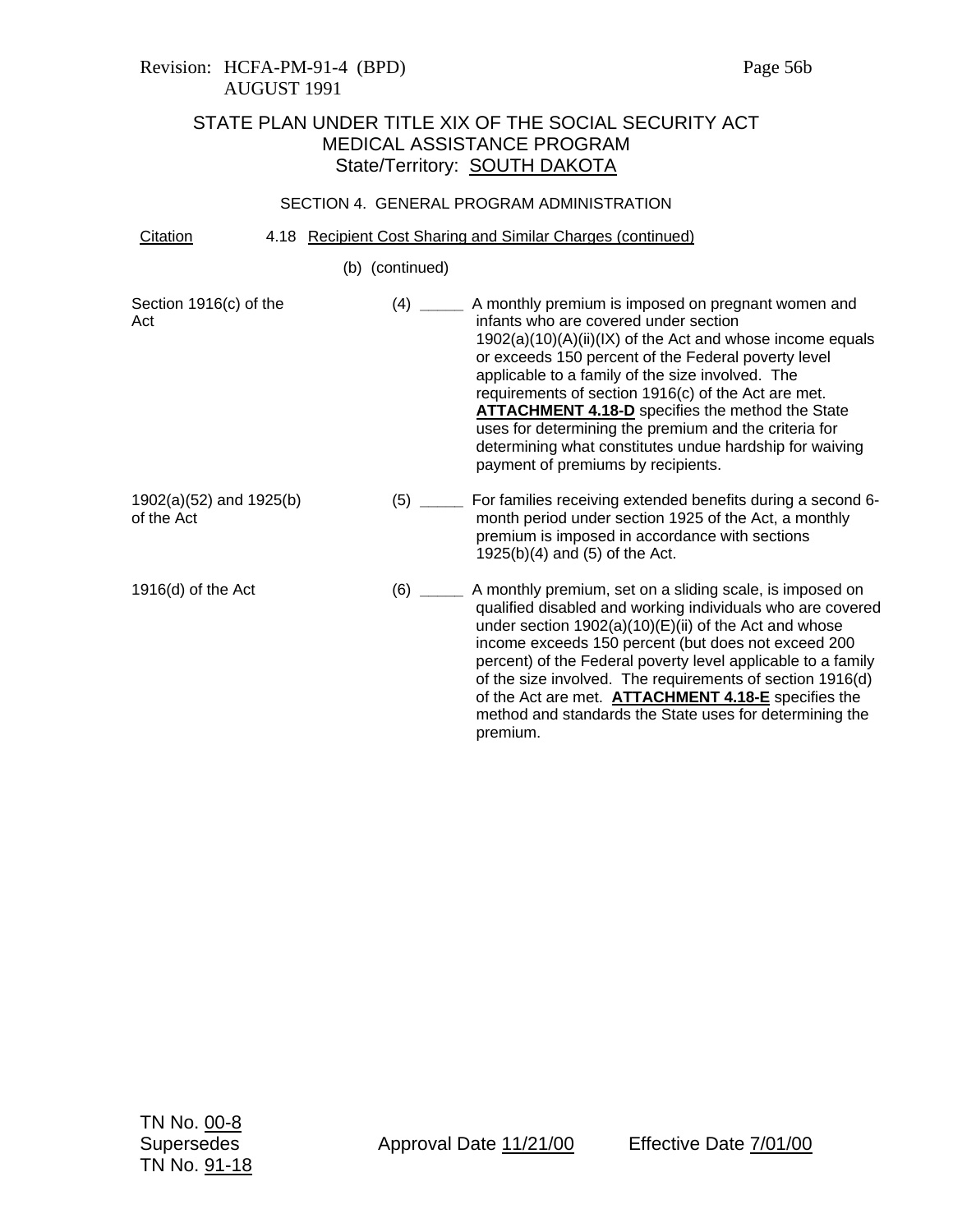## Revision: HCFA-PM-91-4 (BPD) Page 56b AUGUST 1991

# STATE PLAN UNDER TITLE XIX OF THE SOCIAL SECURITY ACT MEDICAL ASSISTANCE PROGRAM State/Territory: SOUTH DAKOTA

### SECTION 4. GENERAL PROGRAM ADMINISTRATION

| Citation | 4.18 Recipient Cost Sharing and Similar Charges (continued) |  |
|----------|-------------------------------------------------------------|--|
|          |                                                             |  |

(b) (continued)

| Section 1916(c) of the<br>Act             |         | A monthly premium is imposed on pregnant women and<br>infants who are covered under section<br>$1902(a)(10)(A)(ii)(IX)$ of the Act and whose income equals<br>or exceeds 150 percent of the Federal poverty level<br>applicable to a family of the size involved. The<br>requirements of section 1916(c) of the Act are met.<br><b>ATTACHMENT 4.18-D</b> specifies the method the State<br>uses for determining the premium and the criteria for<br>determining what constitutes undue hardship for waiving<br>payment of premiums by recipients. |
|-------------------------------------------|---------|---------------------------------------------------------------------------------------------------------------------------------------------------------------------------------------------------------------------------------------------------------------------------------------------------------------------------------------------------------------------------------------------------------------------------------------------------------------------------------------------------------------------------------------------------|
| $1902(a)(52)$ and $1925(b)$<br>of the Act | $(5)$ _ | For families receiving extended benefits during a second 6-<br>month period under section 1925 of the Act, a monthly<br>premium is imposed in accordance with sections<br>$1925(b)(4)$ and (5) of the Act.                                                                                                                                                                                                                                                                                                                                        |
| $1916(d)$ of the Act                      | (6)     | A monthly premium, set on a sliding scale, is imposed on<br>qualified disabled and working individuals who are covered<br>under section $1902(a)(10)(E)(ii)$ of the Act and whose<br>income exceeds 150 percent (but does not exceed 200<br>percent) of the Federal poverty level applicable to a family<br>of the size involved. The requirements of section 1916(d)<br>of the Act are met. <b>ATTACHMENT 4.18-E</b> specifies the<br>method and standards the State uses for determining the<br>premium.                                        |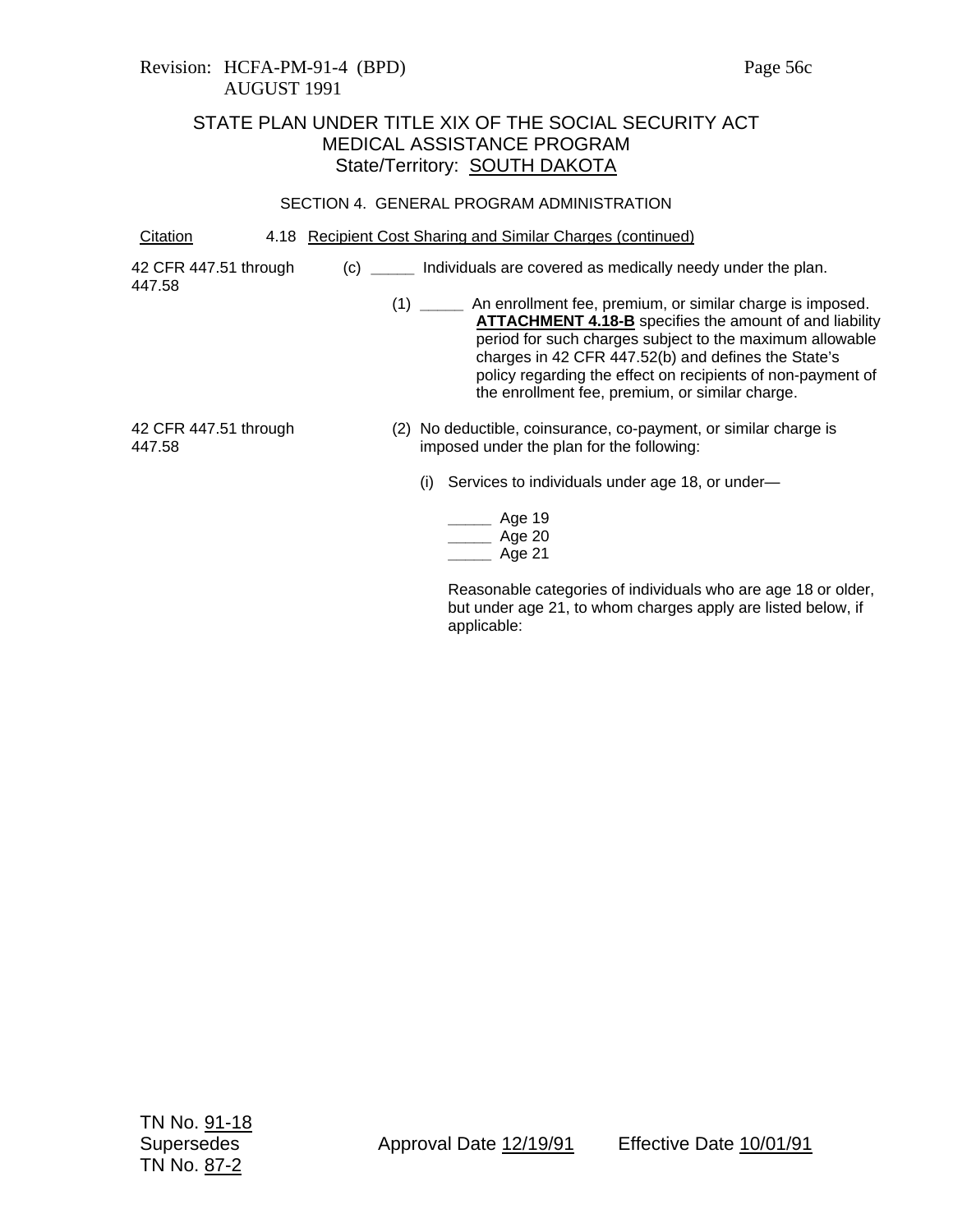### Revision: HCFA-PM-91-4 (BPD) Page 56c AUGUST 1991

## STATE PLAN UNDER TITLE XIX OF THE SOCIAL SECURITY ACT MEDICAL ASSISTANCE PROGRAM State/Territory: SOUTH DAKOTA

### SECTION 4. GENERAL PROGRAM ADMINISTRATION

Citation 4.18 Recipient Cost Sharing and Similar Charges (continued)

42 CFR 447.51 through

447.58

- (c) **\_\_\_\_\_** Individuals are covered as medically needy under the plan.
	- (1) **\_\_\_\_\_** An enrollment fee, premium, or similar charge is imposed. **ATTACHMENT 4.18-B** specifies the amount of and liability period for such charges subject to the maximum allowable charges in 42 CFR 447.52(b) and defines the State's policy regarding the effect on recipients of non-payment of the enrollment fee, premium, or similar charge.

42 CFR 447.51 through 447.58

- (2) No deductible, coinsurance, co-payment, or similar charge is imposed under the plan for the following:
	- (i) Services to individuals under age 18, or under—

| Age 19 |
|--------|
| Age 20 |
| Age 21 |

Reasonable categories of individuals who are age 18 or older, but under age 21, to whom charges apply are listed below, if applicable: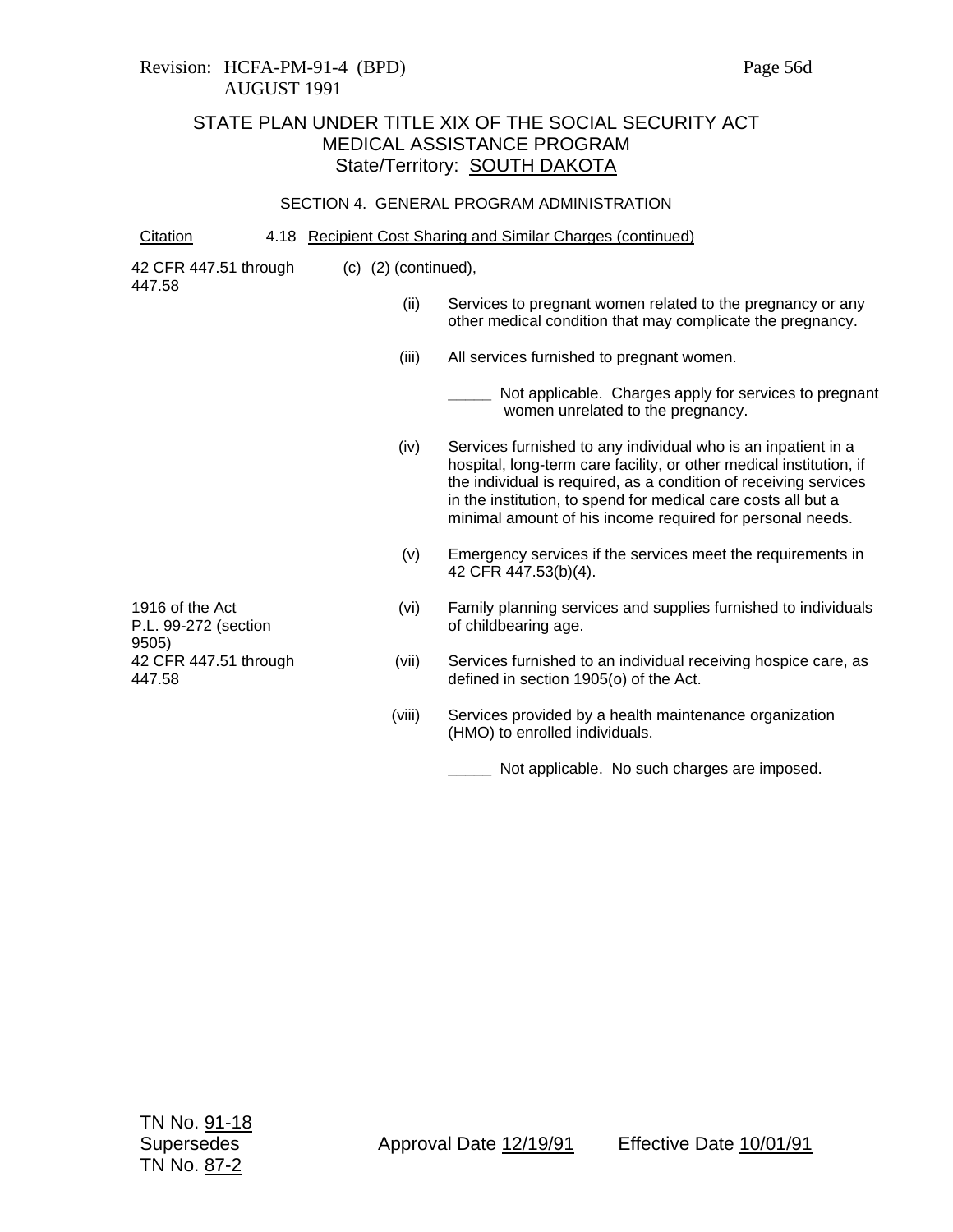## Revision: HCFA-PM-91-4 (BPD) Page 56d AUGUST 1991

## STATE PLAN UNDER TITLE XIX OF THE SOCIAL SECURITY ACT MEDICAL ASSISTANCE PROGRAM State/Territory: **SOUTH DAKOTA**

### SECTION 4. GENERAL PROGRAM ADMINISTRATION

Citation 4.18 Recipient Cost Sharing and Similar Charges (continued)

| 42 CFR 447.51 through | (c) |
|-----------------------|-----|
| 447.58                |     |

- (2) (continued),
	- (ii) Services to pregnant women related to the pregnancy or any other medical condition that may complicate the pregnancy.
	- (iii) All services furnished to pregnant women.
		- **\_\_\_\_\_** Not applicable. Charges apply for services to pregnant women unrelated to the pregnancy.
	- (iv) Services furnished to any individual who is an inpatient in a hospital, long-term care facility, or other medical institution, if the individual is required, as a condition of receiving services in the institution, to spend for medical care costs all but a minimal amount of his income required for personal needs.
	- (v) Emergency services if the services meet the requirements in 42 CFR 447.53(b)(4).
	- (vi) Family planning services and supplies furnished to individuals of childbearing age.
	- (vii) Services furnished to an individual receiving hospice care, as defined in section 1905(o) of the Act.
	- (viii) Services provided by a health maintenance organization (HMO) to enrolled individuals.
		- **\_\_\_\_\_** Not applicable. No such charges are imposed.

1916 of the Act P.L. 99-272 (section 9505) 42 CFR 447.51 through 447.58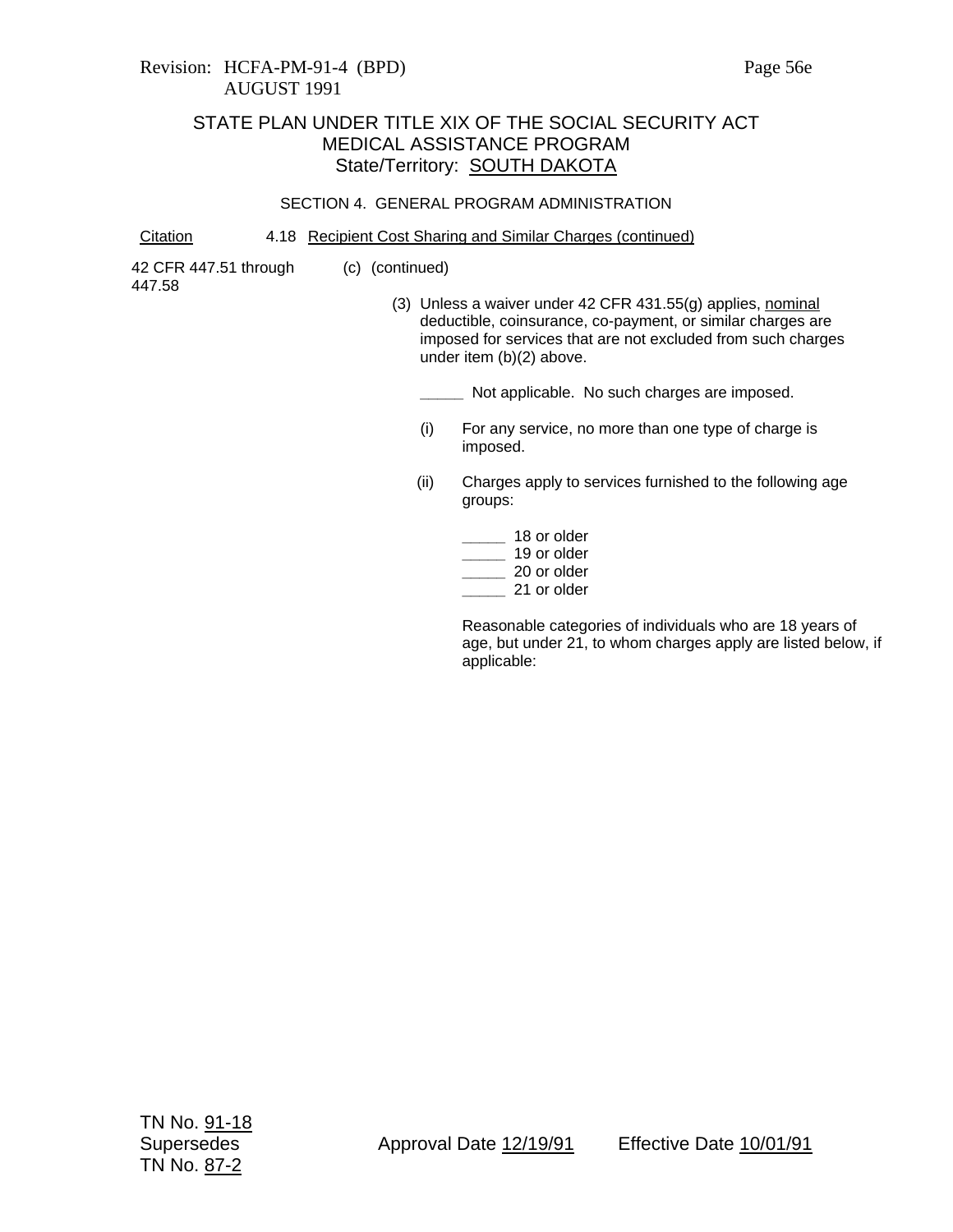### SECTION 4. GENERAL PROGRAM ADMINISTRATION

Citation 4.18 Recipient Cost Sharing and Similar Charges (continued)

(c) (continued)

42 CFR 447.51 through 447.58

(3) Unless a waiver under 42 CFR 431.55(g) applies, nominal deductible, coinsurance, co-payment, or similar charges are imposed for services that are not excluded from such charges under item (b)(2) above.

**\_\_\_\_\_** Not applicable. No such charges are imposed.

- (i) For any service, no more than one type of charge is imposed.
- (ii) Charges apply to services furnished to the following age groups:

| 18 or older |
|-------------|
| 19 or older |
| 20 or older |
| 21 or older |

Reasonable categories of individuals who are 18 years of age, but under 21, to whom charges apply are listed below, if applicable: